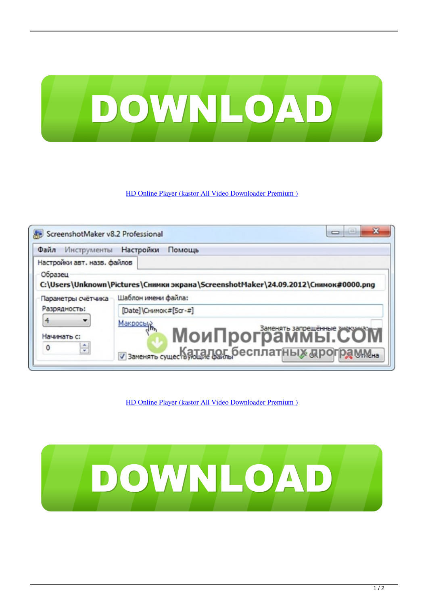

## [HD Online Player \(kastor All Video Downloader Premium \)](https://fancli.com/1xo4oe)



[HD Online Player \(kastor All Video Downloader Premium \)](https://fancli.com/1xo4oe)